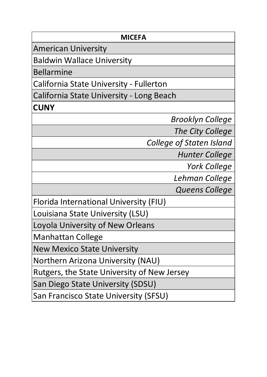| <b>MICEFA</b>                               |  |
|---------------------------------------------|--|
| American University                         |  |
| <b>Baldwin Wallace University</b>           |  |
| <b>Bellarmine</b>                           |  |
| California State University - Fullerton     |  |
| California State University - Long Beach    |  |
| <b>CUNY</b>                                 |  |
| <b>Brooklyn College</b>                     |  |
| The City College                            |  |
| <b>College of Staten Island</b>             |  |
| <b>Hunter College</b>                       |  |
| <b>York College</b>                         |  |
| Lehman College                              |  |
| Queens College                              |  |
| Florida International University (FIU)      |  |
| Louisiana State University (LSU)            |  |
| Loyola University of New Orleans            |  |
| <b>Manhattan College</b>                    |  |
| New Mexico State University                 |  |
| <b>Northern Arizona University (NAU)</b>    |  |
| Rutgers, the State University of New Jersey |  |
| San Diego State University (SDSU)           |  |
| San Francisco State University (SFSU)       |  |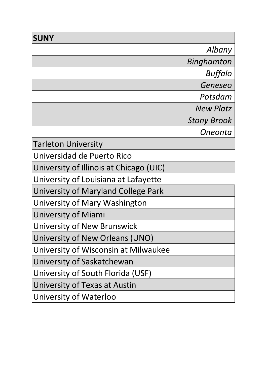| <b>SUNY</b>                             |                    |
|-----------------------------------------|--------------------|
|                                         | Albany             |
|                                         | Binghamton         |
|                                         | <b>Buffalo</b>     |
|                                         | Geneseo            |
|                                         | Potsdam            |
|                                         | <b>New Platz</b>   |
|                                         | <b>Stony Brook</b> |
|                                         | Oneonta            |
| <b>Tarleton University</b>              |                    |
| Universidad de Puerto Rico              |                    |
| University of Illinois at Chicago (UIC) |                    |
| University of Louisiana at Lafayette    |                    |
| University of Maryland College Park     |                    |
| University of Mary Washington           |                    |
| University of Miami                     |                    |
| University of New Brunswick             |                    |
| University of New Orleans (UNO)         |                    |
| University of Wisconsin at Milwaukee    |                    |
| University of Saskatchewan              |                    |
| University of South Florida (USF)       |                    |
| University of Texas at Austin           |                    |
| University of Waterloo                  |                    |